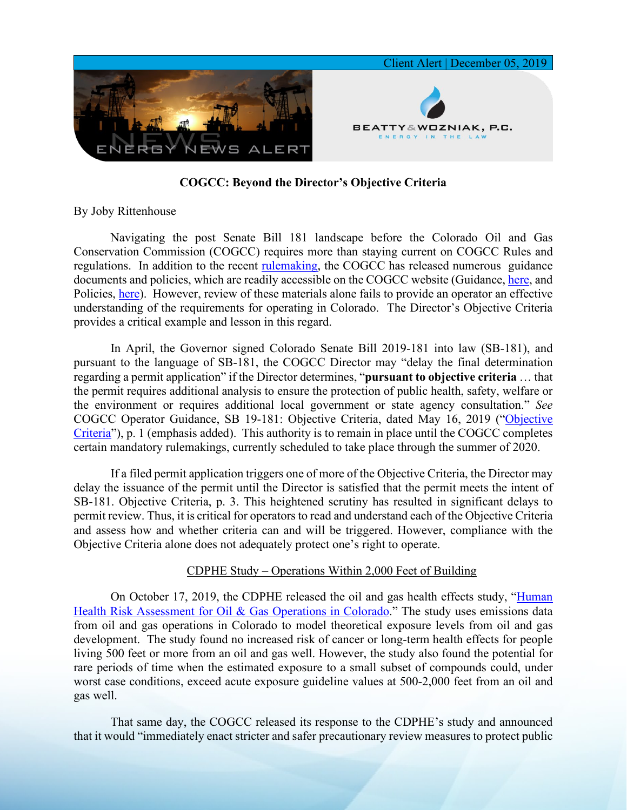

**COGCC: Beyond the Director's Objective Criteria**

By Joby Rittenhouse

Navigating the post Senate Bill 181 landscape before the Colorado Oil and Gas Conservation Commission (COGCC) requires more than staying current on COGCC Rules and regulations. In addition to the recent [rulemaking,](http://cogcc.state.co.us/documents/media/Press_Release_Flowline_Rulemaking_November_Commission_Announcement_20191121.pdf) the COGCC has released numerous guidance documents and policies, which are readily accessible on the COGCC website (Guidance, [here,](http://cogcc.state.co.us/reg.html#/opguidance) and Policies, [here\)](http://cogcc.state.co.us/reg.html#/policies). However, review of these materials alone fails to provide an operator an effective understanding of the requirements for operating in Colorado. The Director's Objective Criteria provides a critical example and lesson in this regard.

In April, the Governor signed Colorado Senate Bill 2019-181 into law (SB-181), and pursuant to the language of SB-181, the COGCC Director may "delay the final determination regarding a permit application" if the Director determines, "**pursuant to objective criteria** … that the permit requires additional analysis to ensure the protection of public health, safety, welfare or the environment or requires additional local government or state agency consultation." *See* COGCC Operator Guidance, SB 19-181: Objective Criteria, dated May 16, 2019 (["Objective](http://cogcc.state.co.us/documents/sb19181/DOC/COGCC_Directors_Final_Objective_Criteria_20190516.pdf)  [Criteria"](http://cogcc.state.co.us/documents/sb19181/DOC/COGCC_Directors_Final_Objective_Criteria_20190516.pdf)), p. 1 (emphasis added). This authority is to remain in place until the COGCC completes certain mandatory rulemakings, currently scheduled to take place through the summer of 2020.

If a filed permit application triggers one of more of the Objective Criteria, the Director may delay the issuance of the permit until the Director is satisfied that the permit meets the intent of SB-181. Objective Criteria, p. 3. This heightened scrutiny has resulted in significant delays to permit review. Thus, it is critical for operators to read and understand each of the Objective Criteria and assess how and whether criteria can and will be triggered. However, compliance with the Objective Criteria alone does not adequately protect one's right to operate.

## CDPHE Study – Operations Within 2,000 Feet of Building

On October 17, 2019, the CDPHE released the oil and gas health effects study, ["Human](https://drive.google.com/file/d/1pO41DJMXw9sD1NjR_OKyBJP5NCb-AO0I/view)  [Health Risk Assessment for Oil & Gas Operations in Colorado.](https://drive.google.com/file/d/1pO41DJMXw9sD1NjR_OKyBJP5NCb-AO0I/view)" The study uses emissions data from oil and gas operations in Colorado to model theoretical exposure levels from oil and gas development. The study found no increased risk of cancer or long-term health effects for people living 500 feet or more from an oil and gas well. However, the study also found the potential for rare periods of time when the estimated exposure to a small subset of compounds could, under worst case conditions, exceed acute exposure guideline values at 500-2,000 feet from an oil and gas well.

That same day, the COGCC released its response to the CDPHE's study and announced that it would "immediately enact stricter and safer precautionary review measures to protect public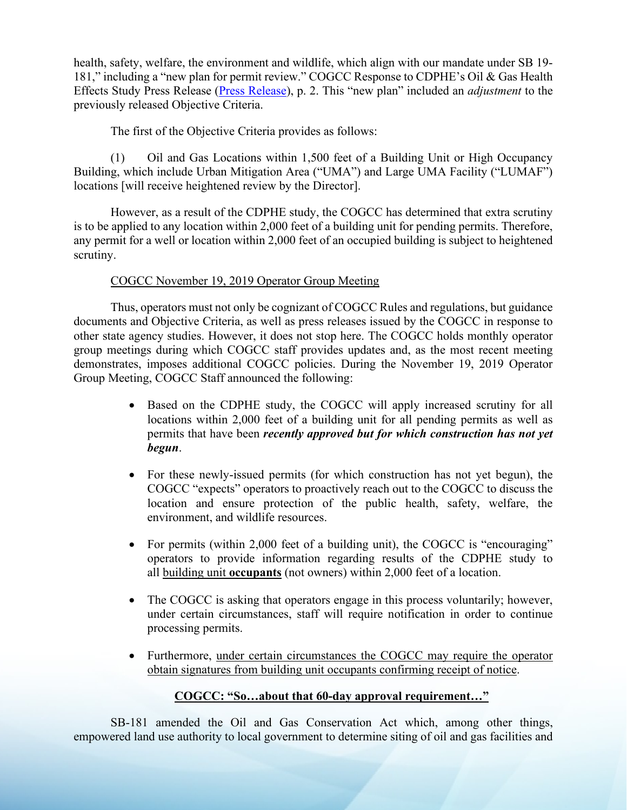health, safety, welfare, the environment and wildlife, which align with our mandate under SB 19- 181," including a "new plan for permit review." COGCC Response to CDPHE's Oil & Gas Health Effects Study Press Release [\(Press Release\)](http://cogcc.state.co.us/documents/media/Press_Release_COGCC_Response_to_CDPHE_Study_20191017.pdf), p. 2. This "new plan" included an *adjustment* to the previously released Objective Criteria.

The first of the Objective Criteria provides as follows:

(1) Oil and Gas Locations within 1,500 feet of a Building Unit or High Occupancy Building, which include Urban Mitigation Area ("UMA") and Large UMA Facility ("LUMAF") locations [will receive heightened review by the Director].

However, as a result of the CDPHE study, the COGCC has determined that extra scrutiny is to be applied to any location within 2,000 feet of a building unit for pending permits. Therefore, any permit for a well or location within 2,000 feet of an occupied building is subject to heightened scrutiny.

## COGCC November 19, 2019 Operator Group Meeting

Thus, operators must not only be cognizant of COGCC Rules and regulations, but guidance documents and Objective Criteria, as well as press releases issued by the COGCC in response to other state agency studies. However, it does not stop here. The COGCC holds monthly operator group meetings during which COGCC staff provides updates and, as the most recent meeting demonstrates, imposes additional COGCC policies. During the November 19, 2019 Operator Group Meeting, COGCC Staff announced the following:

- Based on the CDPHE study, the COGCC will apply increased scrutiny for all locations within 2,000 feet of a building unit for all pending permits as well as permits that have been *recently approved but for which construction has not yet begun*.
- For these newly-issued permits (for which construction has not yet begun), the COGCC "expects" operators to proactively reach out to the COGCC to discuss the location and ensure protection of the public health, safety, welfare, the environment, and wildlife resources.
- For permits (within 2,000 feet of a building unit), the COGCC is "encouraging" operators to provide information regarding results of the CDPHE study to all building unit **occupants** (not owners) within 2,000 feet of a location.
- The COGCC is asking that operators engage in this process voluntarily; however, under certain circumstances, staff will require notification in order to continue processing permits.
- Furthermore, under certain circumstances the COGCC may require the operator obtain signatures from building unit occupants confirming receipt of notice.

## **COGCC: "So…about that 60-day approval requirement…"**

SB-181 amended the Oil and Gas Conservation Act which, among other things, empowered land use authority to local government to determine siting of oil and gas facilities and